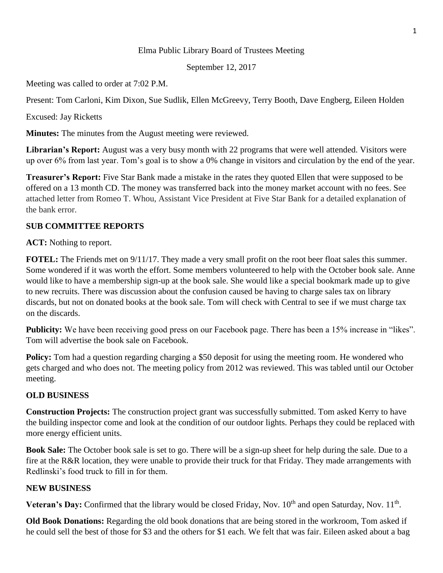## Elma Public Library Board of Trustees Meeting

September 12, 2017

Meeting was called to order at 7:02 P.M.

Present: Tom Carloni, Kim Dixon, Sue Sudlik, Ellen McGreevy, Terry Booth, Dave Engberg, Eileen Holden

Excused: Jay Ricketts

**Minutes:** The minutes from the August meeting were reviewed.

Librarian's Report: August was a very busy month with 22 programs that were well attended. Visitors were up over 6% from last year. Tom's goal is to show a 0% change in visitors and circulation by the end of the year.

**Treasurer's Report:** Five Star Bank made a mistake in the rates they quoted Ellen that were supposed to be offered on a 13 month CD. The money was transferred back into the money market account with no fees. See attached letter from Romeo T. Whou, Assistant Vice President at Five Star Bank for a detailed explanation of the bank error.

## **SUB COMMITTEE REPORTS**

**ACT:** Nothing to report.

**FOTEL:** The Friends met on  $9/11/17$ . They made a very small profit on the root beer float sales this summer. Some wondered if it was worth the effort. Some members volunteered to help with the October book sale. Anne would like to have a membership sign-up at the book sale. She would like a special bookmark made up to give to new recruits. There was discussion about the confusion caused be having to charge sales tax on library discards, but not on donated books at the book sale. Tom will check with Central to see if we must charge tax on the discards.

**Publicity:** We have been receiving good press on our Facebook page. There has been a 15% increase in "likes". Tom will advertise the book sale on Facebook.

**Policy:** Tom had a question regarding charging a \$50 deposit for using the meeting room. He wondered who gets charged and who does not. The meeting policy from 2012 was reviewed. This was tabled until our October meeting.

## **OLD BUSINESS**

**Construction Projects:** The construction project grant was successfully submitted. Tom asked Kerry to have the building inspector come and look at the condition of our outdoor lights. Perhaps they could be replaced with more energy efficient units.

**Book Sale:** The October book sale is set to go. There will be a sign-up sheet for help during the sale. Due to a fire at the R&R location, they were unable to provide their truck for that Friday. They made arrangements with Redlinski's food truck to fill in for them.

## **NEW BUSINESS**

Veteran's Day: Confirmed that the library would be closed Friday, Nov. 10<sup>th</sup> and open Saturday, Nov. 11<sup>th</sup>.

**Old Book Donations:** Regarding the old book donations that are being stored in the workroom, Tom asked if he could sell the best of those for \$3 and the others for \$1 each. We felt that was fair. Eileen asked about a bag